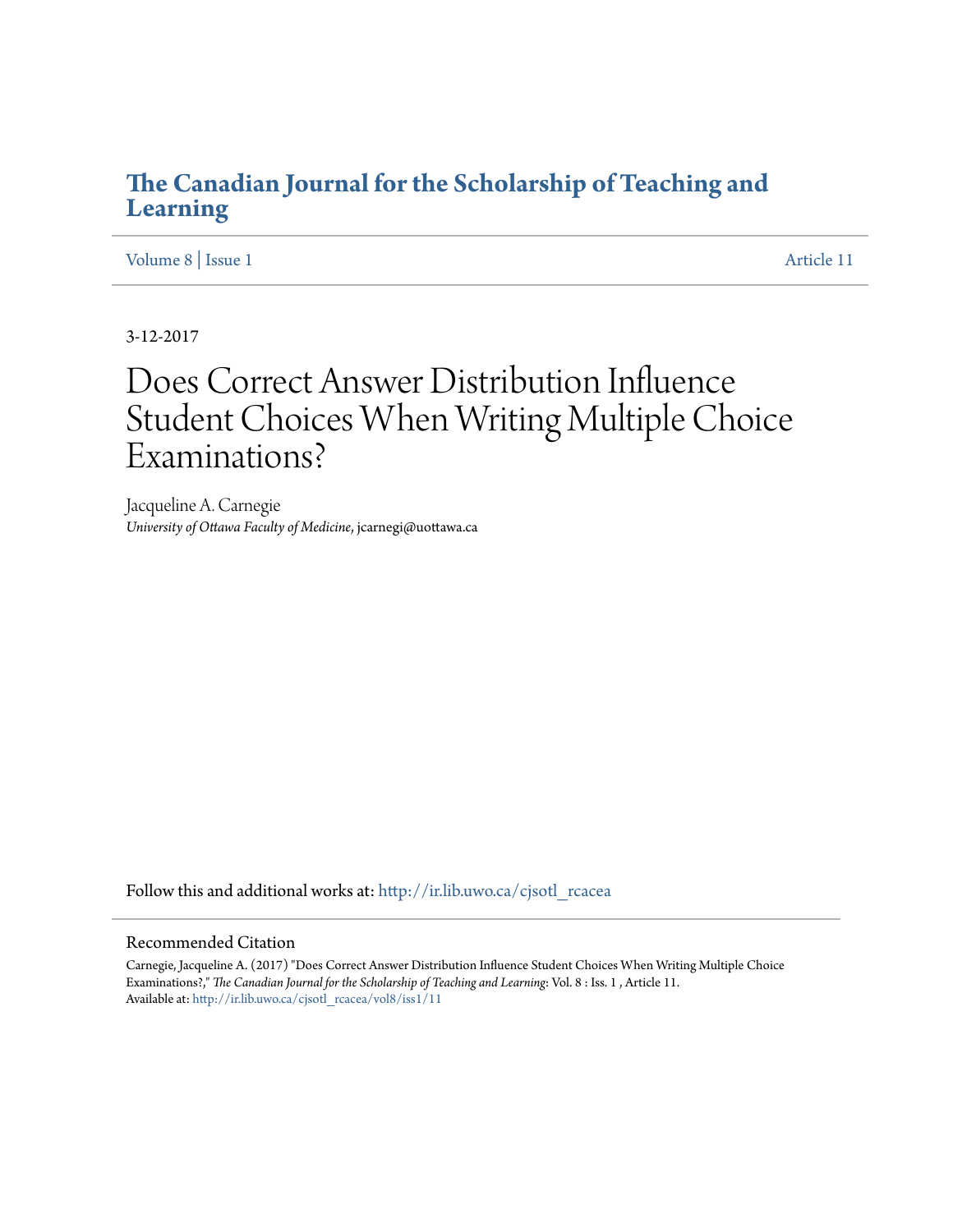### **[The Canadian Journal for the Scholarship of Teaching and](http://ir.lib.uwo.ca/cjsotl_rcacea?utm_source=ir.lib.uwo.ca%2Fcjsotl_rcacea%2Fvol8%2Fiss1%2F11&utm_medium=PDF&utm_campaign=PDFCoverPages) [Learning](http://ir.lib.uwo.ca/cjsotl_rcacea?utm_source=ir.lib.uwo.ca%2Fcjsotl_rcacea%2Fvol8%2Fiss1%2F11&utm_medium=PDF&utm_campaign=PDFCoverPages)**

[Volume 8](http://ir.lib.uwo.ca/cjsotl_rcacea/vol8?utm_source=ir.lib.uwo.ca%2Fcjsotl_rcacea%2Fvol8%2Fiss1%2F11&utm_medium=PDF&utm_campaign=PDFCoverPages) | [Issue 1](http://ir.lib.uwo.ca/cjsotl_rcacea/vol8/iss1?utm_source=ir.lib.uwo.ca%2Fcjsotl_rcacea%2Fvol8%2Fiss1%2F11&utm_medium=PDF&utm_campaign=PDFCoverPages) [Article 11](http://ir.lib.uwo.ca/cjsotl_rcacea/vol8/iss1/11?utm_source=ir.lib.uwo.ca%2Fcjsotl_rcacea%2Fvol8%2Fiss1%2F11&utm_medium=PDF&utm_campaign=PDFCoverPages)

3-12-2017

# Does Correct Answer Distribution Influence Student Choices When Writing Multiple Choice Examinations?

Jacqueline A. Carnegie *University of Ottawa Faculty of Medicine*, jcarnegi@uottawa.ca

Follow this and additional works at: [http://ir.lib.uwo.ca/cjsotl\\_rcacea](http://ir.lib.uwo.ca/cjsotl_rcacea?utm_source=ir.lib.uwo.ca%2Fcjsotl_rcacea%2Fvol8%2Fiss1%2F11&utm_medium=PDF&utm_campaign=PDFCoverPages)

#### Recommended Citation

Carnegie, Jacqueline A. (2017) "Does Correct Answer Distribution Influence Student Choices When Writing Multiple Choice Examinations?," *The Canadian Journal for the Scholarship of Teaching and Learning*: Vol. 8 : Iss. 1 , Article 11. Available at: [http://ir.lib.uwo.ca/cjsotl\\_rcacea/vol8/iss1/11](http://ir.lib.uwo.ca/cjsotl_rcacea/vol8/iss1/11?utm_source=ir.lib.uwo.ca%2Fcjsotl_rcacea%2Fvol8%2Fiss1%2F11&utm_medium=PDF&utm_campaign=PDFCoverPages)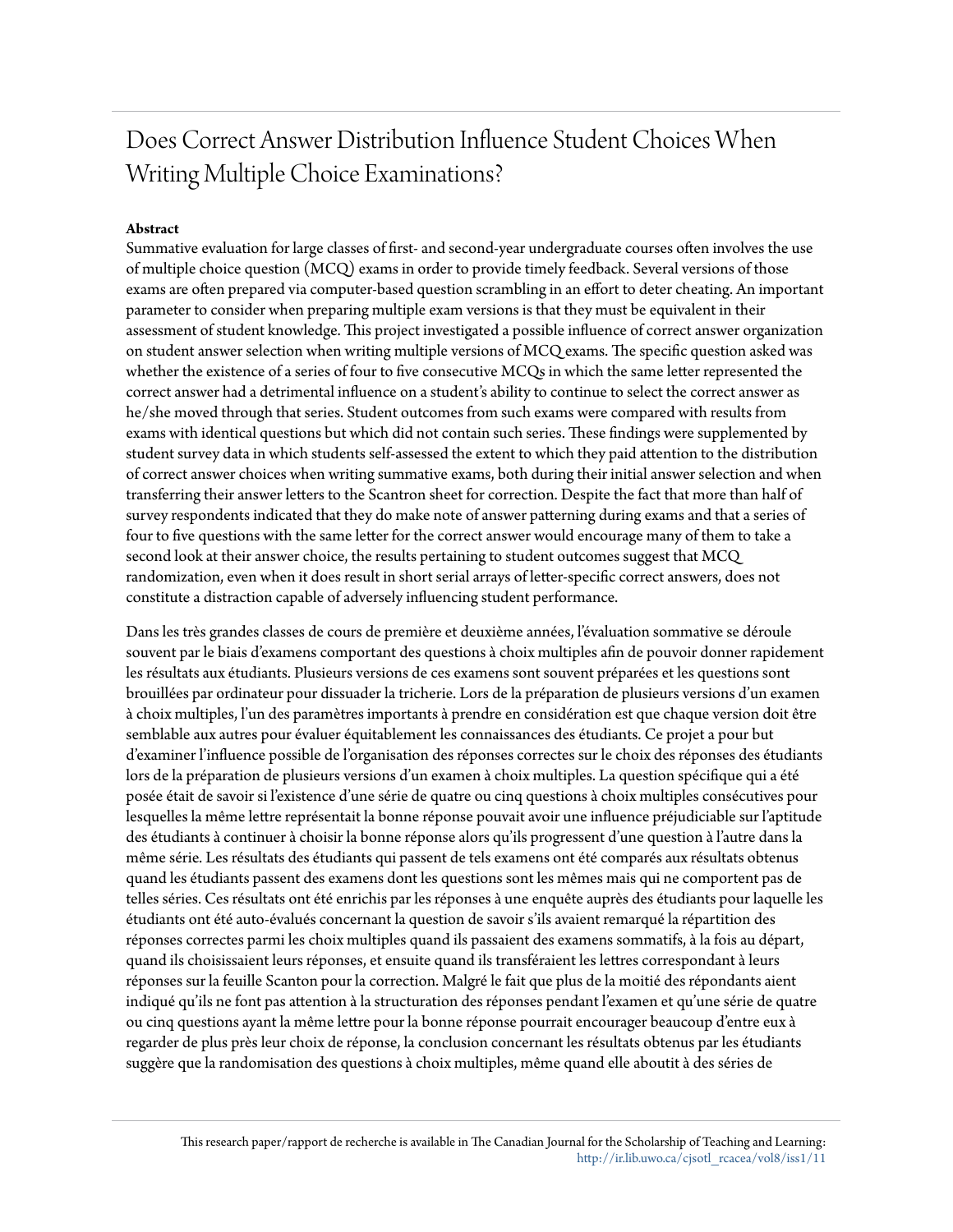## Does Correct Answer Distribution Influence Student Choices When Writing Multiple Choice Examinations?

#### **Abstract**

Summative evaluation for large classes of first- and second-year undergraduate courses often involves the use of multiple choice question (MCQ) exams in order to provide timely feedback. Several versions of those exams are often prepared via computer-based question scrambling in an effort to deter cheating. An important parameter to consider when preparing multiple exam versions is that they must be equivalent in their assessment of student knowledge. This project investigated a possible influence of correct answer organization on student answer selection when writing multiple versions of MCQ exams. The specific question asked was whether the existence of a series of four to five consecutive MCQs in which the same letter represented the correct answer had a detrimental influence on a student's ability to continue to select the correct answer as he/she moved through that series. Student outcomes from such exams were compared with results from exams with identical questions but which did not contain such series. These findings were supplemented by student survey data in which students self-assessed the extent to which they paid attention to the distribution of correct answer choices when writing summative exams, both during their initial answer selection and when transferring their answer letters to the Scantron sheet for correction. Despite the fact that more than half of survey respondents indicated that they do make note of answer patterning during exams and that a series of four to five questions with the same letter for the correct answer would encourage many of them to take a second look at their answer choice, the results pertaining to student outcomes suggest that MCQ randomization, even when it does result in short serial arrays of letter-specific correct answers, does not constitute a distraction capable of adversely influencing student performance.

Dans les très grandes classes de cours de première et deuxième années, l'évaluation sommative se déroule souvent par le biais d'examens comportant des questions à choix multiples afin de pouvoir donner rapidement les résultats aux étudiants. Plusieurs versions de ces examens sont souvent préparées et les questions sont brouillées par ordinateur pour dissuader la tricherie. Lors de la préparation de plusieurs versions d'un examen à choix multiples, l'un des paramètres importants à prendre en considération est que chaque version doit être semblable aux autres pour évaluer équitablement les connaissances des étudiants. Ce projet a pour but d'examiner l'influence possible de l'organisation des réponses correctes sur le choix des réponses des étudiants lors de la préparation de plusieurs versions d'un examen à choix multiples. La question spécifique qui a été posée était de savoir si l'existence d'une série de quatre ou cinq questions à choix multiples consécutives pour lesquelles la même lettre représentait la bonne réponse pouvait avoir une influence préjudiciable sur l'aptitude des étudiants à continuer à choisir la bonne réponse alors qu'ils progressent d'une question à l'autre dans la même série. Les résultats des étudiants qui passent de tels examens ont été comparés aux résultats obtenus quand les étudiants passent des examens dont les questions sont les mêmes mais qui ne comportent pas de telles séries. Ces résultats ont été enrichis par les réponses à une enquête auprès des étudiants pour laquelle les étudiants ont été auto-évalués concernant la question de savoir s'ils avaient remarqué la répartition des réponses correctes parmi les choix multiples quand ils passaient des examens sommatifs, à la fois au départ, quand ils choisissaient leurs réponses, et ensuite quand ils transféraient les lettres correspondant à leurs réponses sur la feuille Scanton pour la correction. Malgré le fait que plus de la moitié des répondants aient indiqué qu'ils ne font pas attention à la structuration des réponses pendant l'examen et qu'une série de quatre ou cinq questions ayant la même lettre pour la bonne réponse pourrait encourager beaucoup d'entre eux à regarder de plus près leur choix de réponse, la conclusion concernant les résultats obtenus par les étudiants suggère que la randomisation des questions à choix multiples, même quand elle aboutit à des séries de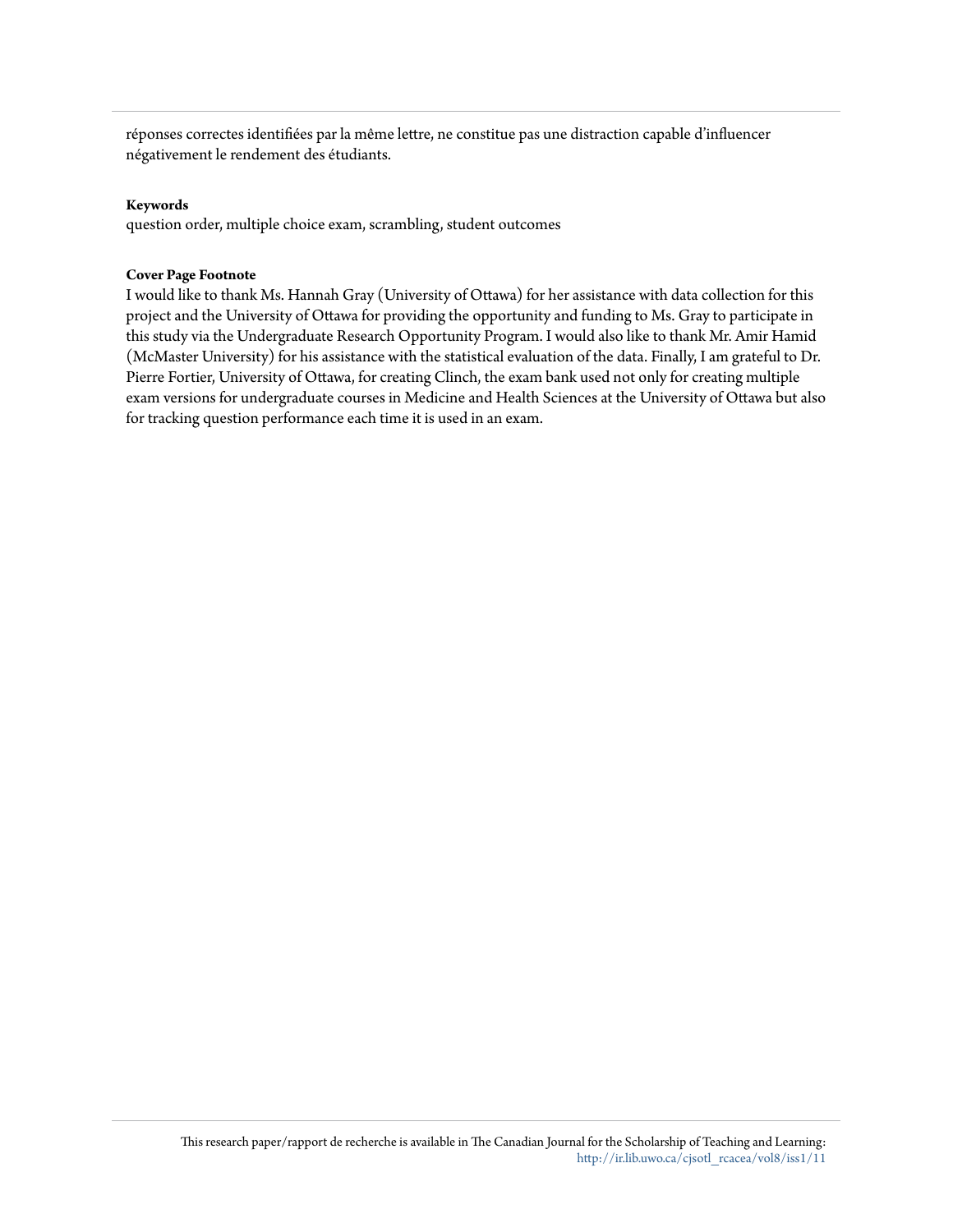réponses correctes identifiées par la même lettre, ne constitue pas une distraction capable d'influencer négativement le rendement des étudiants.

#### **Keywords**

question order, multiple choice exam, scrambling, student outcomes

#### **Cover Page Footnote**

I would like to thank Ms. Hannah Gray (University of Ottawa) for her assistance with data collection for this project and the University of Ottawa for providing the opportunity and funding to Ms. Gray to participate in this study via the Undergraduate Research Opportunity Program. I would also like to thank Mr. Amir Hamid (McMaster University) for his assistance with the statistical evaluation of the data. Finally, I am grateful to Dr. Pierre Fortier, University of Ottawa, for creating Clinch, the exam bank used not only for creating multiple exam versions for undergraduate courses in Medicine and Health Sciences at the University of Ottawa but also for tracking question performance each time it is used in an exam.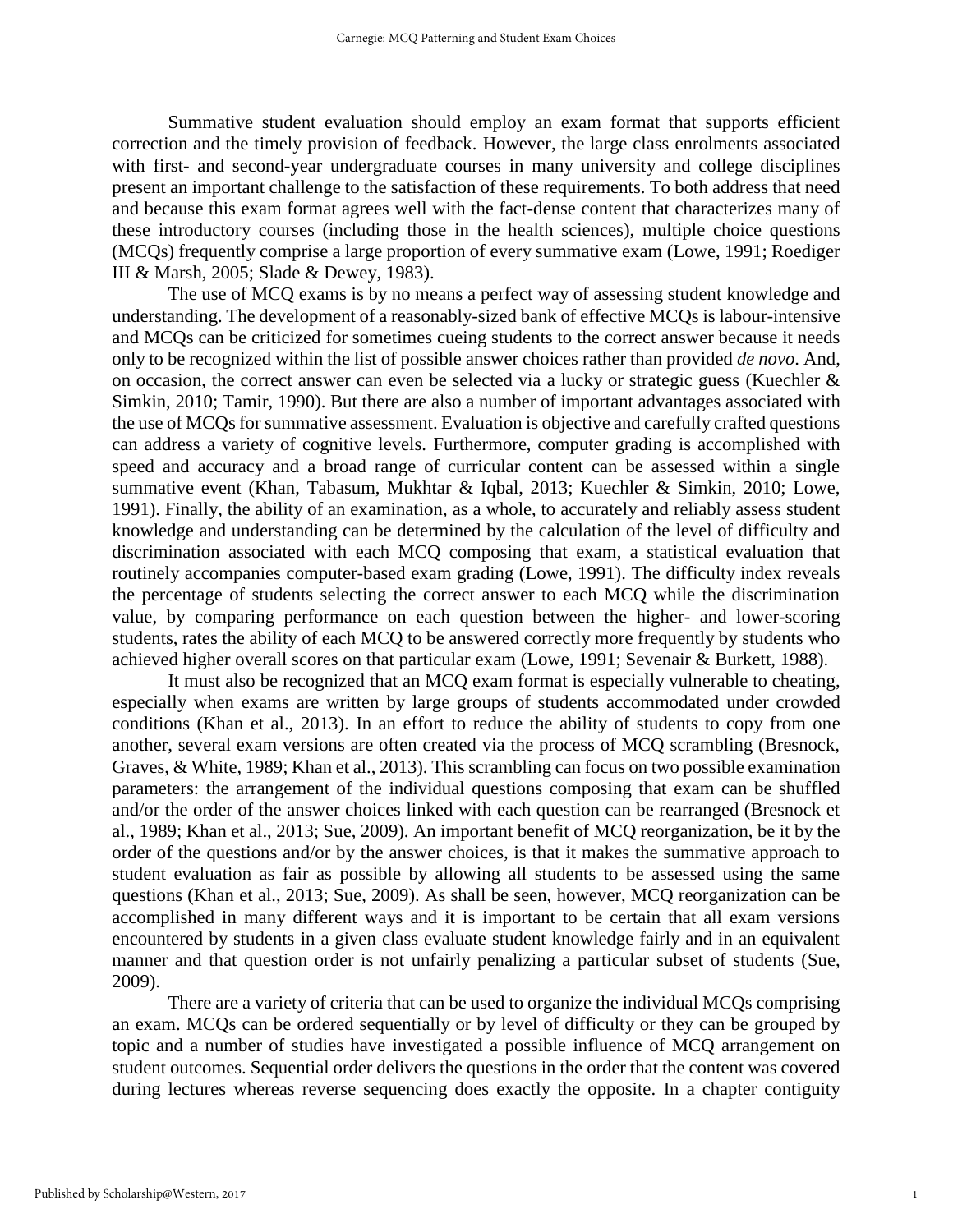Summative student evaluation should employ an exam format that supports efficient correction and the timely provision of feedback. However, the large class enrolments associated with first- and second-year undergraduate courses in many university and college disciplines present an important challenge to the satisfaction of these requirements. To both address that need and because this exam format agrees well with the fact-dense content that characterizes many of these introductory courses (including those in the health sciences), multiple choice questions (MCQs) frequently comprise a large proportion of every summative exam (Lowe, 1991; Roediger III & Marsh, 2005; Slade & Dewey, 1983).

The use of MCQ exams is by no means a perfect way of assessing student knowledge and understanding. The development of a reasonably-sized bank of effective MCQs is labour-intensive and MCQs can be criticized for sometimes cueing students to the correct answer because it needs only to be recognized within the list of possible answer choices rather than provided *de novo*. And, on occasion, the correct answer can even be selected via a lucky or strategic guess (Kuechler & Simkin, 2010; Tamir, 1990). But there are also a number of important advantages associated with the use of MCQs for summative assessment. Evaluation is objective and carefully crafted questions can address a variety of cognitive levels. Furthermore, computer grading is accomplished with speed and accuracy and a broad range of curricular content can be assessed within a single summative event (Khan, Tabasum, Mukhtar & Iqbal, 2013; Kuechler & Simkin, 2010; Lowe, 1991). Finally, the ability of an examination, as a whole, to accurately and reliably assess student knowledge and understanding can be determined by the calculation of the level of difficulty and discrimination associated with each MCQ composing that exam, a statistical evaluation that routinely accompanies computer-based exam grading (Lowe, 1991). The difficulty index reveals the percentage of students selecting the correct answer to each MCQ while the discrimination value, by comparing performance on each question between the higher- and lower-scoring students, rates the ability of each MCQ to be answered correctly more frequently by students who achieved higher overall scores on that particular exam (Lowe, 1991; Sevenair & Burkett, 1988).

It must also be recognized that an MCQ exam format is especially vulnerable to cheating, especially when exams are written by large groups of students accommodated under crowded conditions (Khan et al., 2013). In an effort to reduce the ability of students to copy from one another, several exam versions are often created via the process of MCQ scrambling (Bresnock, Graves, & White, 1989; Khan et al., 2013). This scrambling can focus on two possible examination parameters: the arrangement of the individual questions composing that exam can be shuffled and/or the order of the answer choices linked with each question can be rearranged (Bresnock et al., 1989; Khan et al., 2013; Sue, 2009). An important benefit of MCQ reorganization, be it by the order of the questions and/or by the answer choices, is that it makes the summative approach to student evaluation as fair as possible by allowing all students to be assessed using the same questions (Khan et al., 2013; Sue, 2009). As shall be seen, however, MCQ reorganization can be accomplished in many different ways and it is important to be certain that all exam versions encountered by students in a given class evaluate student knowledge fairly and in an equivalent manner and that question order is not unfairly penalizing a particular subset of students (Sue, 2009).

There are a variety of criteria that can be used to organize the individual MCQs comprising an exam. MCQs can be ordered sequentially or by level of difficulty or they can be grouped by topic and a number of studies have investigated a possible influence of MCQ arrangement on student outcomes. Sequential order delivers the questions in the order that the content was covered during lectures whereas reverse sequencing does exactly the opposite. In a chapter contiguity

1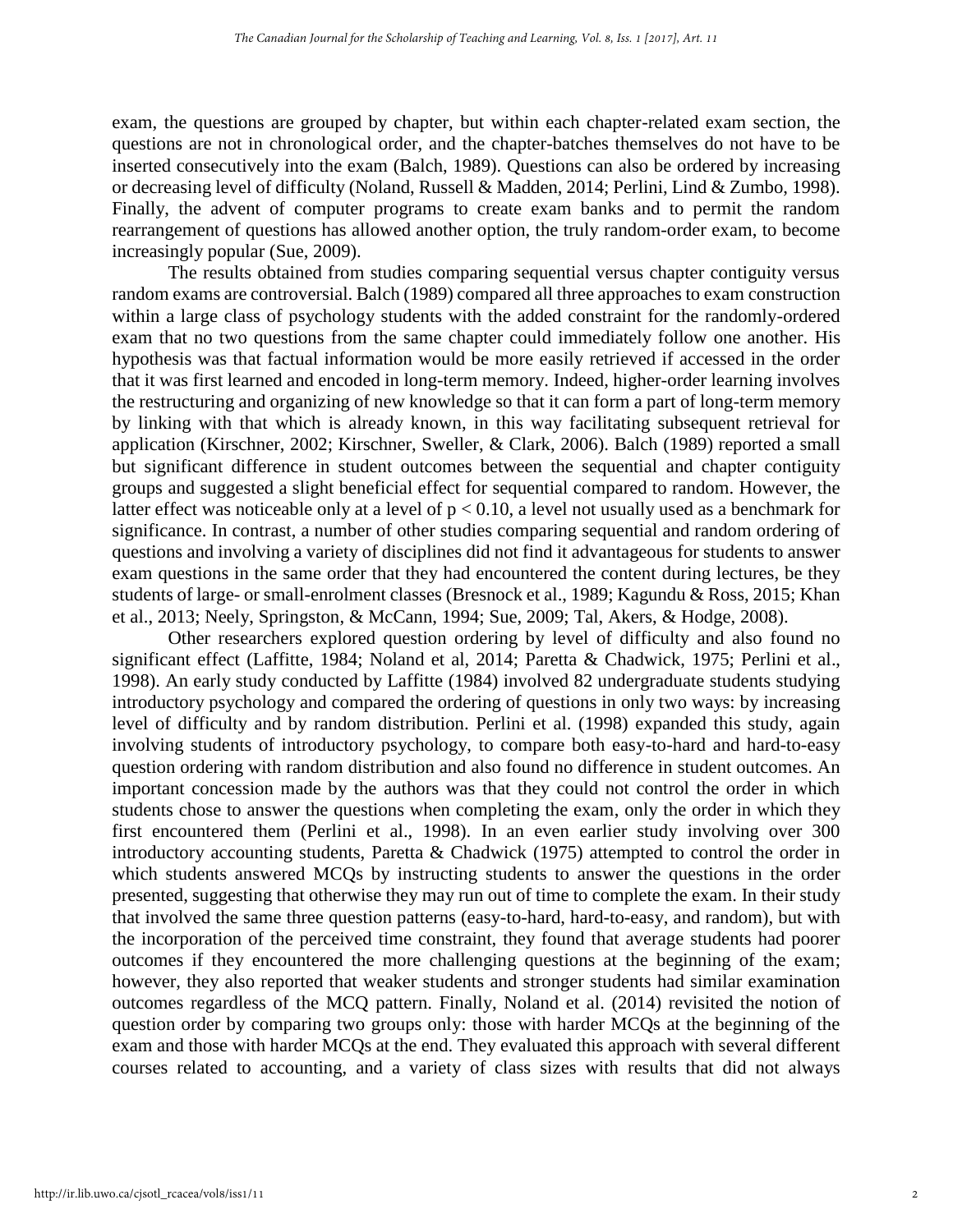exam, the questions are grouped by chapter, but within each chapter-related exam section, the questions are not in chronological order, and the chapter-batches themselves do not have to be inserted consecutively into the exam (Balch, 1989). Questions can also be ordered by increasing or decreasing level of difficulty (Noland, Russell & Madden, 2014; Perlini, Lind & Zumbo, 1998). Finally, the advent of computer programs to create exam banks and to permit the random rearrangement of questions has allowed another option, the truly random-order exam, to become increasingly popular (Sue, 2009).

The results obtained from studies comparing sequential versus chapter contiguity versus random exams are controversial. Balch (1989) compared all three approaches to exam construction within a large class of psychology students with the added constraint for the randomly-ordered exam that no two questions from the same chapter could immediately follow one another. His hypothesis was that factual information would be more easily retrieved if accessed in the order that it was first learned and encoded in long-term memory. Indeed, higher-order learning involves the restructuring and organizing of new knowledge so that it can form a part of long-term memory by linking with that which is already known, in this way facilitating subsequent retrieval for application (Kirschner, 2002; Kirschner, Sweller, & Clark, 2006). Balch (1989) reported a small but significant difference in student outcomes between the sequential and chapter contiguity groups and suggested a slight beneficial effect for sequential compared to random. However, the latter effect was noticeable only at a level of  $p < 0.10$ , a level not usually used as a benchmark for significance. In contrast, a number of other studies comparing sequential and random ordering of questions and involving a variety of disciplines did not find it advantageous for students to answer exam questions in the same order that they had encountered the content during lectures, be they students of large- or small-enrolment classes (Bresnock et al., 1989; Kagundu & Ross, 2015; Khan et al., 2013; Neely, Springston, & McCann, 1994; Sue, 2009; Tal, Akers, & Hodge, 2008).

Other researchers explored question ordering by level of difficulty and also found no significant effect (Laffitte, 1984; Noland et al, 2014; Paretta & Chadwick, 1975; Perlini et al., 1998). An early study conducted by Laffitte (1984) involved 82 undergraduate students studying introductory psychology and compared the ordering of questions in only two ways: by increasing level of difficulty and by random distribution. Perlini et al. (1998) expanded this study, again involving students of introductory psychology, to compare both easy-to-hard and hard-to-easy question ordering with random distribution and also found no difference in student outcomes. An important concession made by the authors was that they could not control the order in which students chose to answer the questions when completing the exam, only the order in which they first encountered them (Perlini et al., 1998). In an even earlier study involving over 300 introductory accounting students, Paretta & Chadwick (1975) attempted to control the order in which students answered MCQs by instructing students to answer the questions in the order presented, suggesting that otherwise they may run out of time to complete the exam. In their study that involved the same three question patterns (easy-to-hard, hard-to-easy, and random), but with the incorporation of the perceived time constraint, they found that average students had poorer outcomes if they encountered the more challenging questions at the beginning of the exam; however, they also reported that weaker students and stronger students had similar examination outcomes regardless of the MCQ pattern. Finally, Noland et al. (2014) revisited the notion of question order by comparing two groups only: those with harder MCQs at the beginning of the exam and those with harder MCQs at the end. They evaluated this approach with several different courses related to accounting, and a variety of class sizes with results that did not always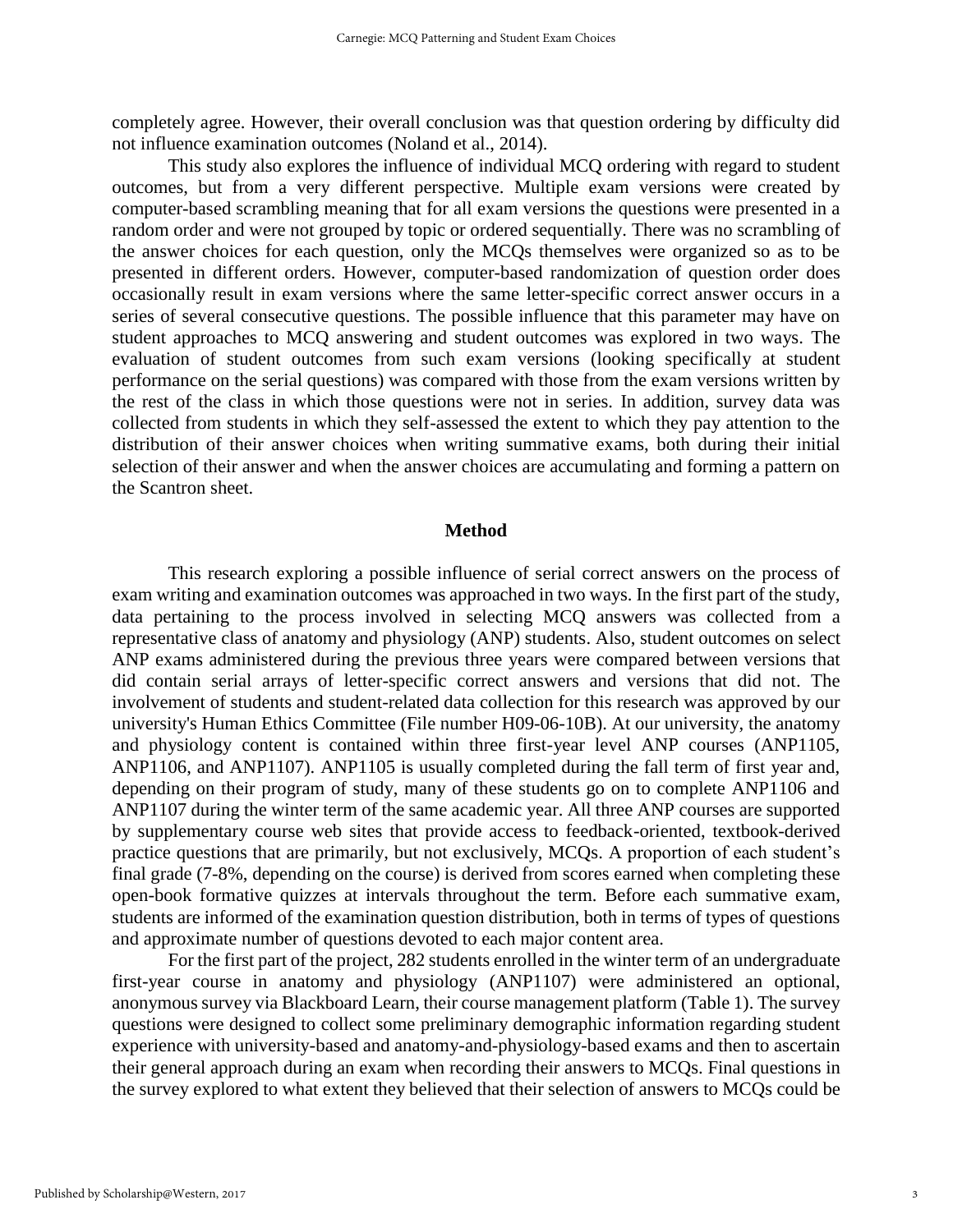completely agree. However, their overall conclusion was that question ordering by difficulty did not influence examination outcomes (Noland et al., 2014).

This study also explores the influence of individual MCQ ordering with regard to student outcomes, but from a very different perspective. Multiple exam versions were created by computer-based scrambling meaning that for all exam versions the questions were presented in a random order and were not grouped by topic or ordered sequentially. There was no scrambling of the answer choices for each question, only the MCQs themselves were organized so as to be presented in different orders. However, computer-based randomization of question order does occasionally result in exam versions where the same letter-specific correct answer occurs in a series of several consecutive questions. The possible influence that this parameter may have on student approaches to MCQ answering and student outcomes was explored in two ways. The evaluation of student outcomes from such exam versions (looking specifically at student performance on the serial questions) was compared with those from the exam versions written by the rest of the class in which those questions were not in series. In addition, survey data was collected from students in which they self-assessed the extent to which they pay attention to the distribution of their answer choices when writing summative exams, both during their initial selection of their answer and when the answer choices are accumulating and forming a pattern on the Scantron sheet.

#### **Method**

This research exploring a possible influence of serial correct answers on the process of exam writing and examination outcomes was approached in two ways. In the first part of the study, data pertaining to the process involved in selecting MCQ answers was collected from a representative class of anatomy and physiology (ANP) students. Also, student outcomes on select ANP exams administered during the previous three years were compared between versions that did contain serial arrays of letter-specific correct answers and versions that did not. The involvement of students and student-related data collection for this research was approved by our university's Human Ethics Committee (File number H09-06-10B). At our university, the anatomy and physiology content is contained within three first-year level ANP courses (ANP1105, ANP1106, and ANP1107). ANP1105 is usually completed during the fall term of first year and, depending on their program of study, many of these students go on to complete ANP1106 and ANP1107 during the winter term of the same academic year. All three ANP courses are supported by supplementary course web sites that provide access to feedback-oriented, textbook-derived practice questions that are primarily, but not exclusively, MCQs. A proportion of each student's final grade (7-8%, depending on the course) is derived from scores earned when completing these open-book formative quizzes at intervals throughout the term. Before each summative exam, students are informed of the examination question distribution, both in terms of types of questions and approximate number of questions devoted to each major content area.

For the first part of the project, 282 students enrolled in the winter term of an undergraduate first-year course in anatomy and physiology (ANP1107) were administered an optional, anonymous survey via Blackboard Learn, their course management platform (Table 1). The survey questions were designed to collect some preliminary demographic information regarding student experience with university-based and anatomy-and-physiology-based exams and then to ascertain their general approach during an exam when recording their answers to MCQs. Final questions in the survey explored to what extent they believed that their selection of answers to MCQs could be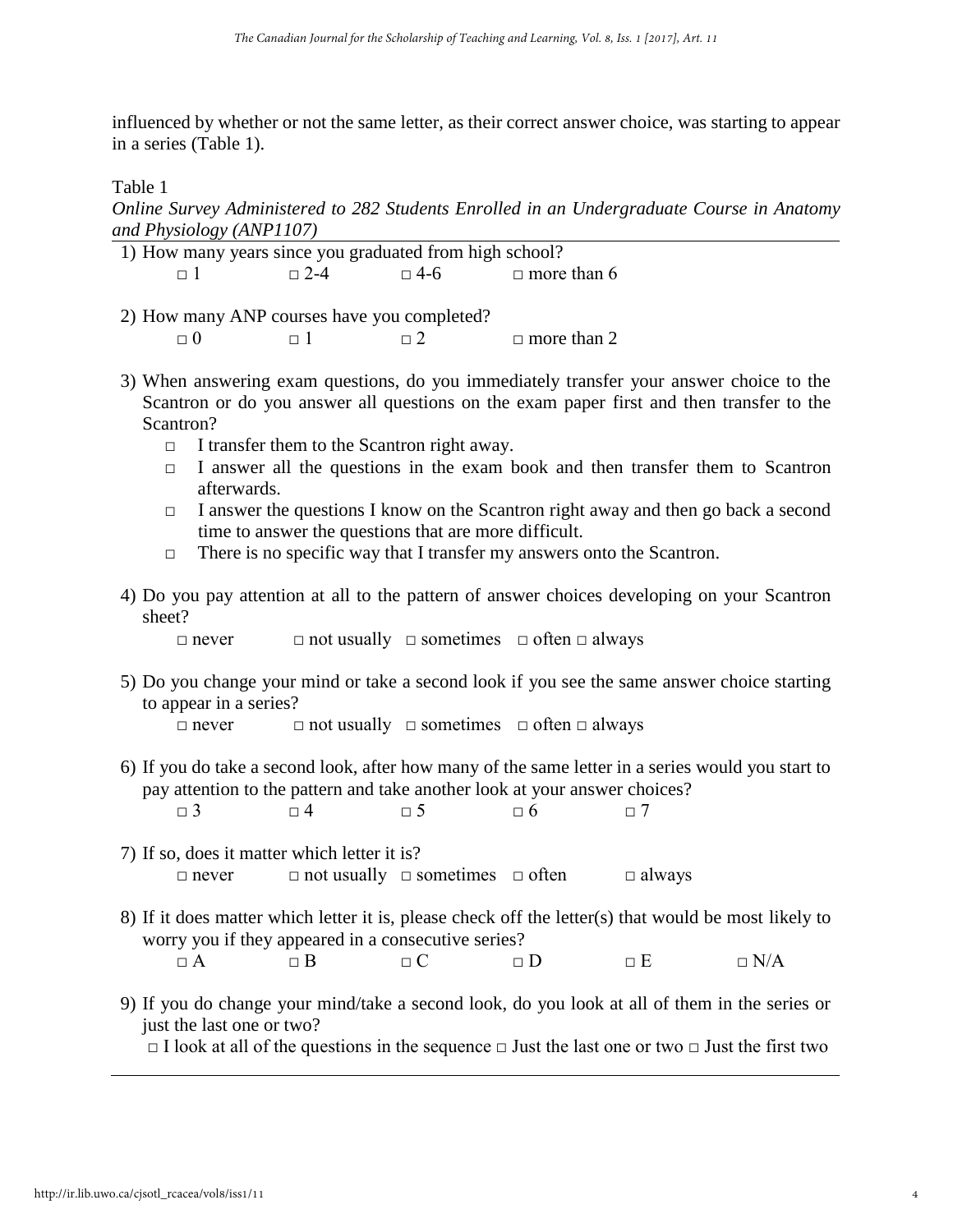influenced by whether or not the same letter, as their correct answer choice, was starting to appear in a series (Table 1).

Table 1

*Online Survey Administered to 282 Students Enrolled in an Undergraduate Course in Anatomy and Physiology (ANP1107)*

| 1) How many years since you graduated from high school? |            |          |                               |  |  |  |  |  |
|---------------------------------------------------------|------------|----------|-------------------------------|--|--|--|--|--|
| $\Box$                                                  | $\Box$ 2-4 |          | $\Box$ 4-6 $\Box$ more than 6 |  |  |  |  |  |
|                                                         |            |          |                               |  |  |  |  |  |
| 2) How many ANP courses have you completed?             |            |          |                               |  |  |  |  |  |
|                                                         |            | $\Box$ 2 | $\Box$ more than 2            |  |  |  |  |  |

- 3) When answering exam questions, do you immediately transfer your answer choice to the Scantron or do you answer all questions on the exam paper first and then transfer to the Scantron?
	- $\Box$  I transfer them to the Scantron right away.
	- $\Box$  I answer all the questions in the exam book and then transfer them to Scantron afterwards.
	- $\Box$  I answer the questions I know on the Scantron right away and then go back a second time to answer the questions that are more difficult.
	- $\Box$  There is no specific way that I transfer my answers onto the Scantron.
- 4) Do you pay attention at all to the pattern of answer choices developing on your Scantron sheet?

□ never □ not usually □ sometimes □ often □ always

5) Do you change your mind or take a second look if you see the same answer choice starting to appear in a series?

□ never □ not usually □ sometimes □ often □ always

- 6) If you do take a second look, after how many of the same letter in a series would you start to pay attention to the pattern and take another look at your answer choices?  $\Box$  3  $\Box$  4  $\Box$  5  $\Box$  6  $\Box$  7
- 7) If so, does it matter which letter it is?  $\Box$  never  $\Box$  not usually  $\Box$  sometimes  $\Box$  often  $\Box$  always
- 8) If it does matter which letter it is, please check off the letter(s) that would be most likely to worry you if they appeared in a consecutive series?

|  | $\Box$ $A$ | $\sim$<br>R |  | $\overline{\phantom{0}}$ | ਾ ਸ ਸ | $\neg N/A$ |
|--|------------|-------------|--|--------------------------|-------|------------|
|--|------------|-------------|--|--------------------------|-------|------------|

9) If you do change your mind/take a second look, do you look at all of them in the series or just the last one or two?

□ I look at all of the questions in the sequence □ Just the last one or two □ Just the first two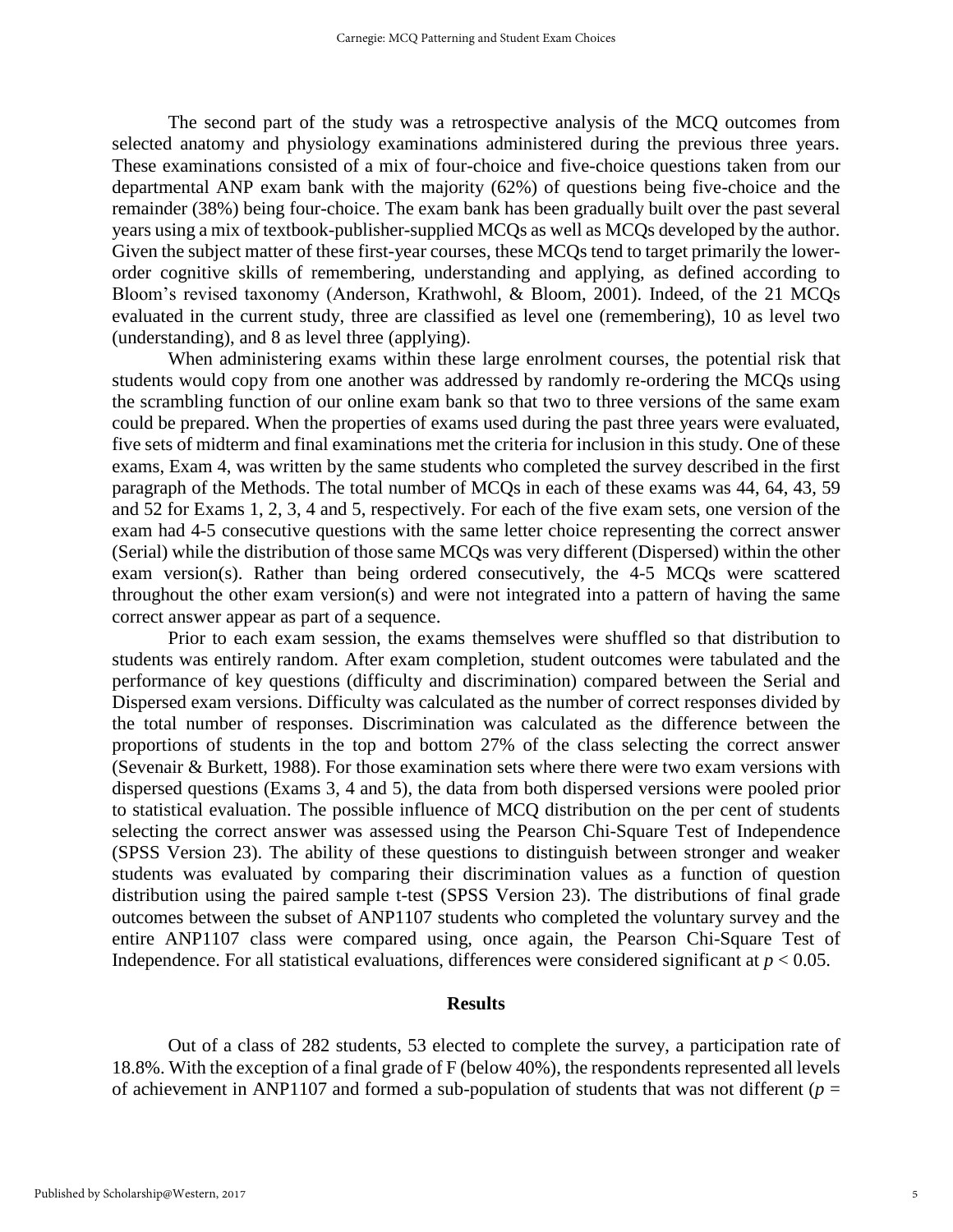The second part of the study was a retrospective analysis of the MCQ outcomes from selected anatomy and physiology examinations administered during the previous three years. These examinations consisted of a mix of four-choice and five-choice questions taken from our departmental ANP exam bank with the majority (62%) of questions being five-choice and the remainder (38%) being four-choice. The exam bank has been gradually built over the past several years using a mix of textbook-publisher-supplied MCQs as well as MCQs developed by the author. Given the subject matter of these first-year courses, these MCQs tend to target primarily the lowerorder cognitive skills of remembering, understanding and applying, as defined according to Bloom's revised taxonomy (Anderson, Krathwohl, & Bloom, 2001). Indeed, of the 21 MCQs evaluated in the current study, three are classified as level one (remembering), 10 as level two (understanding), and 8 as level three (applying).

When administering exams within these large enrolment courses, the potential risk that students would copy from one another was addressed by randomly re-ordering the MCQs using the scrambling function of our online exam bank so that two to three versions of the same exam could be prepared. When the properties of exams used during the past three years were evaluated, five sets of midterm and final examinations met the criteria for inclusion in this study. One of these exams, Exam 4, was written by the same students who completed the survey described in the first paragraph of the Methods. The total number of MCQs in each of these exams was 44, 64, 43, 59 and 52 for Exams 1, 2, 3, 4 and 5, respectively. For each of the five exam sets, one version of the exam had 4-5 consecutive questions with the same letter choice representing the correct answer (Serial) while the distribution of those same MCQs was very different (Dispersed) within the other exam version(s). Rather than being ordered consecutively, the 4-5 MCQs were scattered throughout the other exam version(s) and were not integrated into a pattern of having the same correct answer appear as part of a sequence.

Prior to each exam session, the exams themselves were shuffled so that distribution to students was entirely random. After exam completion, student outcomes were tabulated and the performance of key questions (difficulty and discrimination) compared between the Serial and Dispersed exam versions. Difficulty was calculated as the number of correct responses divided by the total number of responses. Discrimination was calculated as the difference between the proportions of students in the top and bottom 27% of the class selecting the correct answer (Sevenair & Burkett, 1988). For those examination sets where there were two exam versions with dispersed questions (Exams 3, 4 and 5), the data from both dispersed versions were pooled prior to statistical evaluation. The possible influence of MCQ distribution on the per cent of students selecting the correct answer was assessed using the Pearson Chi-Square Test of Independence (SPSS Version 23). The ability of these questions to distinguish between stronger and weaker students was evaluated by comparing their discrimination values as a function of question distribution using the paired sample t-test (SPSS Version 23). The distributions of final grade outcomes between the subset of ANP1107 students who completed the voluntary survey and the entire ANP1107 class were compared using, once again, the Pearson Chi-Square Test of Independence. For all statistical evaluations, differences were considered significant at  $p < 0.05$ .

#### **Results**

Out of a class of 282 students, 53 elected to complete the survey, a participation rate of 18.8%. With the exception of a final grade of F (below 40%), the respondents represented all levels of achievement in ANP1107 and formed a sub-population of students that was not different ( $p =$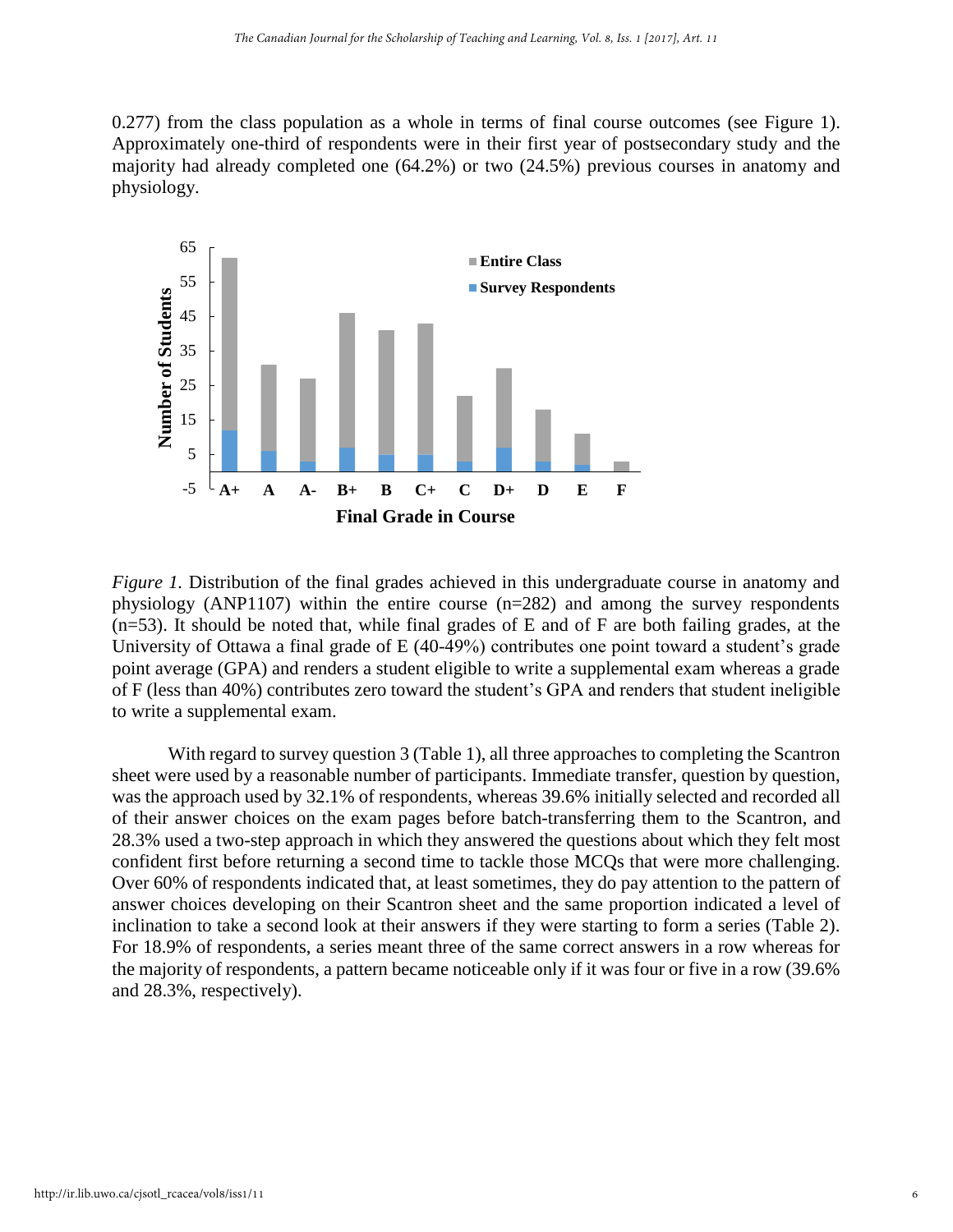0.277) from the class population as a whole in terms of final course outcomes (see Figure 1). Approximately one-third of respondents were in their first year of postsecondary study and the majority had already completed one (64.2%) or two (24.5%) previous courses in anatomy and physiology.



*Figure 1.* Distribution of the final grades achieved in this undergraduate course in anatomy and physiology (ANP1107) within the entire course (n=282) and among the survey respondents (n=53). It should be noted that, while final grades of E and of F are both failing grades, at the University of Ottawa a final grade of E (40-49%) contributes one point toward a student's grade point average (GPA) and renders a student eligible to write a supplemental exam whereas a grade of F (less than 40%) contributes zero toward the student's GPA and renders that student ineligible to write a supplemental exam.

With regard to survey question 3 (Table 1), all three approaches to completing the Scantron sheet were used by a reasonable number of participants. Immediate transfer, question by question, was the approach used by 32.1% of respondents, whereas 39.6% initially selected and recorded all of their answer choices on the exam pages before batch-transferring them to the Scantron, and 28.3% used a two-step approach in which they answered the questions about which they felt most confident first before returning a second time to tackle those MCQs that were more challenging. Over 60% of respondents indicated that, at least sometimes, they do pay attention to the pattern of answer choices developing on their Scantron sheet and the same proportion indicated a level of inclination to take a second look at their answers if they were starting to form a series (Table 2). For 18.9% of respondents, a series meant three of the same correct answers in a row whereas for the majority of respondents, a pattern became noticeable only if it was four or five in a row (39.6% and 28.3%, respectively).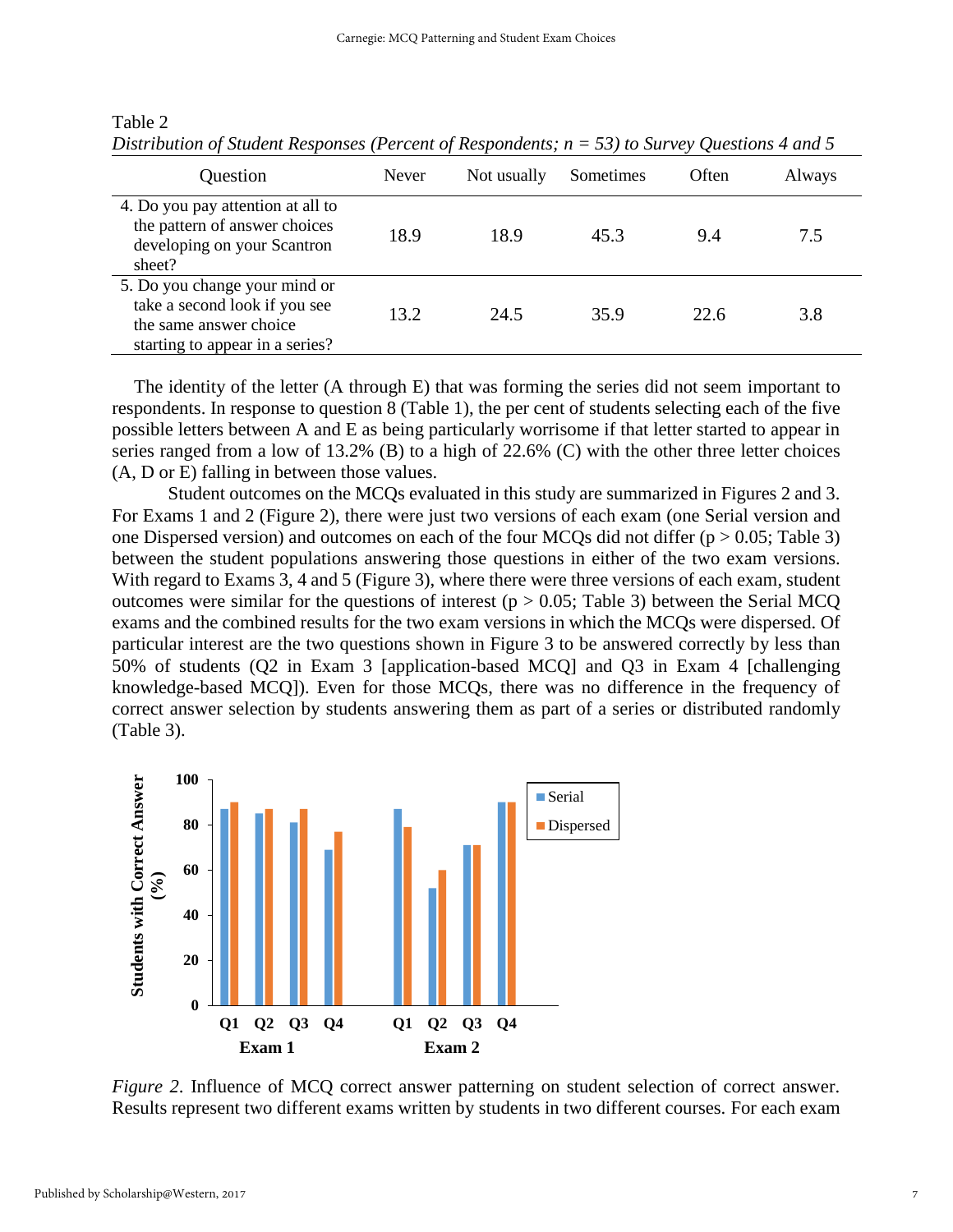| Question                                                                                                                    | <b>Never</b> | Not usually | Sometimes | Often | Always |
|-----------------------------------------------------------------------------------------------------------------------------|--------------|-------------|-----------|-------|--------|
| 4. Do you pay attention at all to<br>the pattern of answer choices<br>developing on your Scantron<br>sheet?                 | 18.9         | 18.9        | 45.3      | 9.4   | 7.5    |
| 5. Do you change your mind or<br>take a second look if you see<br>the same answer choice<br>starting to appear in a series? | 13.2         | 24.5        | 35.9      | 22.6  | 3.8    |

*Distribution of Student Responses (Percent of Respondents; n = 53) to Survey Questions 4 and 5*

The identity of the letter (A through E) that was forming the series did not seem important to respondents. In response to question 8 (Table 1), the per cent of students selecting each of the five possible letters between A and E as being particularly worrisome if that letter started to appear in series ranged from a low of 13.2% (B) to a high of 22.6% (C) with the other three letter choices (A, D or E) falling in between those values.

Student outcomes on the MCQs evaluated in this study are summarized in Figures 2 and 3. For Exams 1 and 2 (Figure 2), there were just two versions of each exam (one Serial version and one Dispersed version) and outcomes on each of the four MCQs did not differ  $(p > 0.05;$  Table 3) between the student populations answering those questions in either of the two exam versions. With regard to Exams 3, 4 and 5 (Figure 3), where there were three versions of each exam, student outcomes were similar for the questions of interest ( $p > 0.05$ ; Table 3) between the Serial MCQ exams and the combined results for the two exam versions in which the MCQs were dispersed. Of particular interest are the two questions shown in Figure 3 to be answered correctly by less than 50% of students (Q2 in Exam 3 [application-based MCQ] and Q3 in Exam 4 [challenging knowledge-based MCQ]). Even for those MCQs, there was no difference in the frequency of correct answer selection by students answering them as part of a series or distributed randomly (Table 3).



*Figure 2.* Influence of MCQ correct answer patterning on student selection of correct answer. Results represent two different exams written by students in two different courses. For each exam

Table 2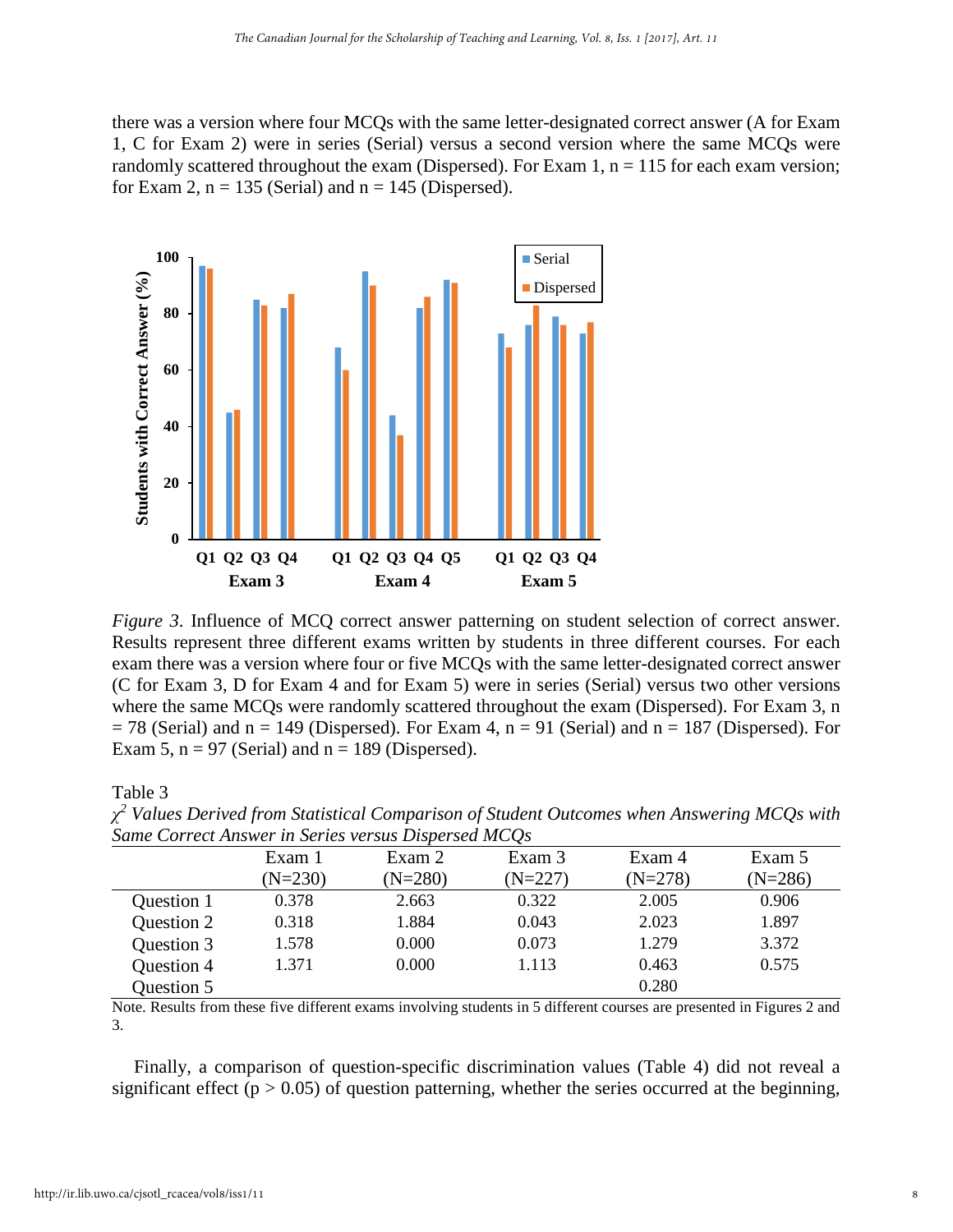there was a version where four MCQs with the same letter-designated correct answer (A for Exam 1, C for Exam 2) were in series (Serial) versus a second version where the same MCQs were randomly scattered throughout the exam (Dispersed). For Exam 1,  $n = 115$  for each exam version; for Exam 2,  $n = 135$  (Serial) and  $n = 145$  (Dispersed).



*Figure 3.* Influence of MCQ correct answer patterning on student selection of correct answer. Results represent three different exams written by students in three different courses. For each exam there was a version where four or five MCQs with the same letter-designated correct answer (C for Exam 3, D for Exam 4 and for Exam 5) were in series (Serial) versus two other versions where the same MCQs were randomly scattered throughout the exam (Dispersed). For Exam 3, n  $= 78$  (Serial) and n = 149 (Dispersed). For Exam 4, n = 91 (Serial) and n = 187 (Dispersed). For Exam 5,  $n = 97$  (Serial) and  $n = 189$  (Dispersed).

Table 3

| Same Correct Answer in Series versus Dispersed MCOS |           |           |           |           |           |
|-----------------------------------------------------|-----------|-----------|-----------|-----------|-----------|
|                                                     | Exam 1    | Exam 2    | Exam 3    | Exam 4    | Exam 5    |
|                                                     | $(N=230)$ | $(N=280)$ | $(N=227)$ | $(N=278)$ | $(N=286)$ |
| Question 1                                          | 0.378     | 2.663     | 0.322     | 2.005     | 0.906     |
| Question 2                                          | 0.318     | 1.884     | 0.043     | 2.023     | 1.897     |
| Question 3                                          | 1.578     | 0.000     | 0.073     | 1.279     | 3.372     |
| Question 4                                          | 1.371     | 0.000     | 1.113     | 0.463     | 0.575     |
| Question 5                                          |           |           |           | 0.280     |           |

*χ <sup>2</sup> Values Derived from Statistical Comparison of Student Outcomes when Answering MCQs with Same Correct Answer in Series versus Dispersed MCQs*

Note. Results from these five different exams involving students in 5 different courses are presented in Figures 2 and 3.

Finally, a comparison of question-specific discrimination values (Table 4) did not reveal a significant effect ( $p > 0.05$ ) of question patterning, whether the series occurred at the beginning,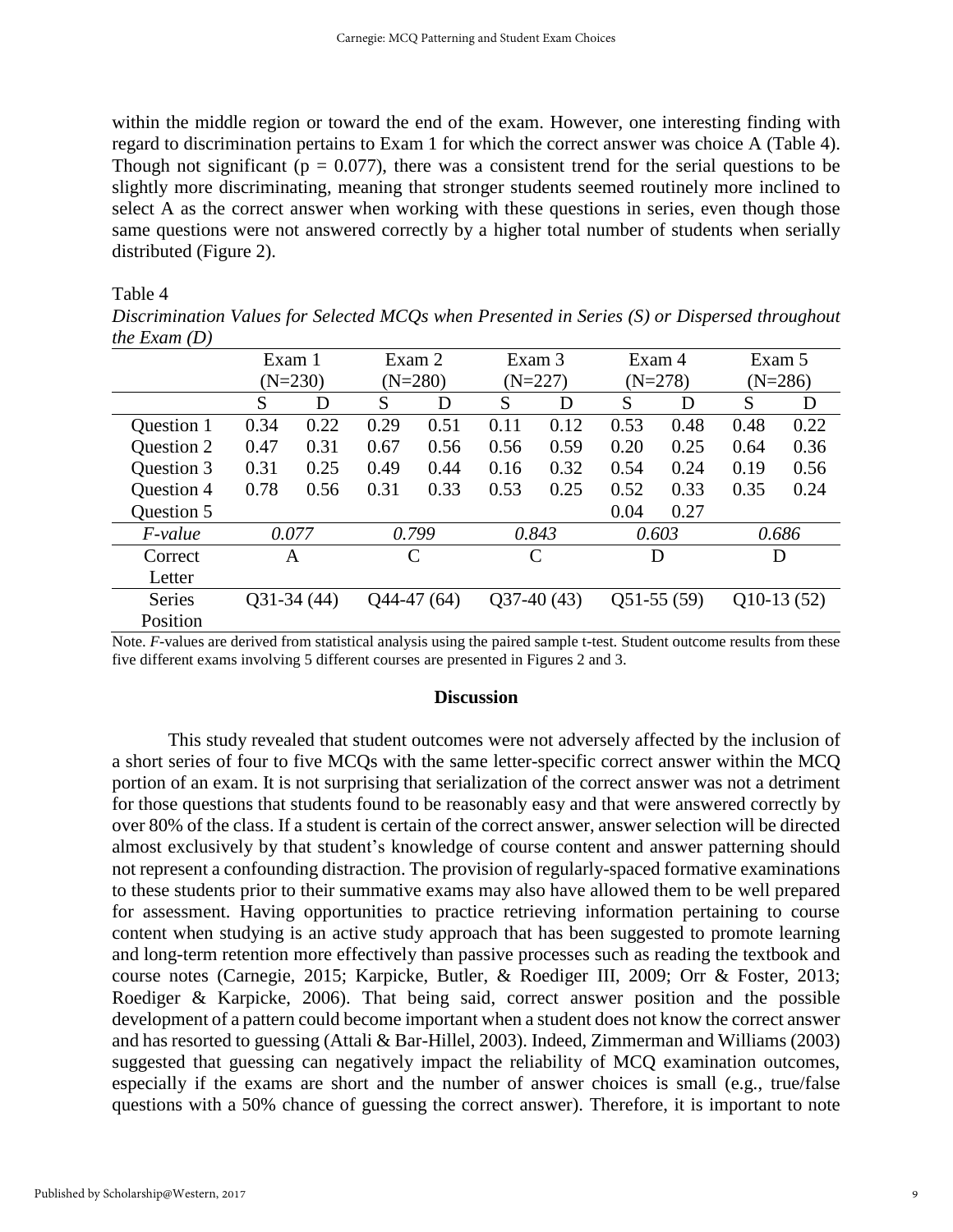within the middle region or toward the end of the exam. However, one interesting finding with regard to discrimination pertains to Exam 1 for which the correct answer was choice A (Table 4). Though not significant ( $p = 0.077$ ), there was a consistent trend for the serial questions to be slightly more discriminating, meaning that stronger students seemed routinely more inclined to select A as the correct answer when working with these questions in series, even though those same questions were not answered correctly by a higher total number of students when serially distributed (Figure 2).

#### Table 4

| $\cdots$ $\cdots$ |              |           |        |              |              |                              |        |           |              |           |  |
|-------------------|--------------|-----------|--------|--------------|--------------|------------------------------|--------|-----------|--------------|-----------|--|
|                   | Exam 1       |           | Exam 2 |              | Exam 3       |                              | Exam 4 |           | Exam 5       |           |  |
|                   |              | $(N=230)$ |        | $(N=280)$    |              | $(N=227)$                    |        | $(N=278)$ |              | $(N=286)$ |  |
|                   | S            | D         | S      | D            | S            | D                            | S      | D         | S            | D         |  |
| Question 1        | 0.34         | 0.22      | 0.29   | 0.51         | 0.11         | 0.12                         | 0.53   | 0.48      | 0.48         | 0.22      |  |
| Question 2        | 0.47         | 0.31      | 0.67   | 0.56         | 0.56         | 0.59                         | 0.20   | 0.25      | 0.64         | 0.36      |  |
| Question 3        | 0.31         | 0.25      | 0.49   | 0.44         | 0.16         | 0.32                         | 0.54   | 0.24      | 0.19         | 0.56      |  |
| Question 4        | 0.78         | 0.56      | 0.31   | 0.33         | 0.53         | 0.25                         | 0.52   | 0.33      | 0.35         | 0.24      |  |
| Question 5        |              |           |        |              |              |                              | 0.04   | 0.27      |              |           |  |
| <i>F-value</i>    | 0.077        |           |        | 0.799        |              | 0.843                        |        | 0.603     |              | 0.686     |  |
| Correct           | A            |           | C      |              | $\mathsf{C}$ |                              | D      |           | D            |           |  |
| Letter            |              |           |        |              |              |                              |        |           |              |           |  |
| Series            | $Q31-34(44)$ |           |        | $044-47(64)$ |              | $Q37-40(43)$<br>$Q51-55(59)$ |        |           | $Q10-13(52)$ |           |  |
| Position          |              |           |        |              |              |                              |        |           |              |           |  |

*Discrimination Values for Selected MCQs when Presented in Series (S) or Dispersed throughout the Exam (D)*

Note. *F*-values are derived from statistical analysis using the paired sample t-test. Student outcome results from these five different exams involving 5 different courses are presented in Figures 2 and 3.

#### **Discussion**

This study revealed that student outcomes were not adversely affected by the inclusion of a short series of four to five MCQs with the same letter-specific correct answer within the MCQ portion of an exam. It is not surprising that serialization of the correct answer was not a detriment for those questions that students found to be reasonably easy and that were answered correctly by over 80% of the class. If a student is certain of the correct answer, answer selection will be directed almost exclusively by that student's knowledge of course content and answer patterning should not represent a confounding distraction. The provision of regularly-spaced formative examinations to these students prior to their summative exams may also have allowed them to be well prepared for assessment. Having opportunities to practice retrieving information pertaining to course content when studying is an active study approach that has been suggested to promote learning and long-term retention more effectively than passive processes such as reading the textbook and course notes (Carnegie, 2015; Karpicke, Butler, & Roediger III, 2009; Orr & Foster, 2013; Roediger & Karpicke, 2006). That being said, correct answer position and the possible development of a pattern could become important when a student does not know the correct answer and has resorted to guessing (Attali & Bar-Hillel, 2003). Indeed, Zimmerman and Williams (2003) suggested that guessing can negatively impact the reliability of MCQ examination outcomes, especially if the exams are short and the number of answer choices is small (e.g., true/false questions with a 50% chance of guessing the correct answer). Therefore, it is important to note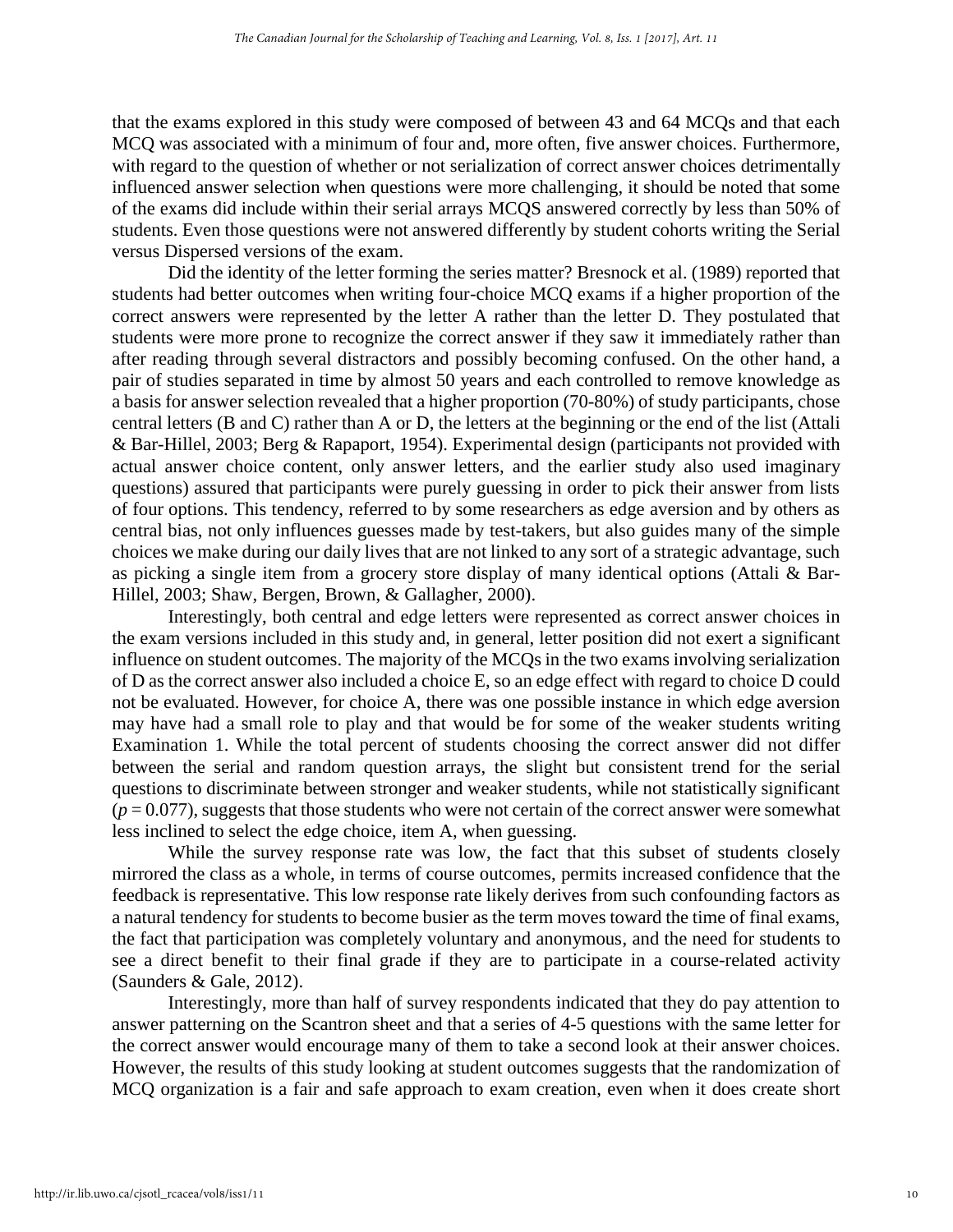that the exams explored in this study were composed of between 43 and 64 MCQs and that each MCQ was associated with a minimum of four and, more often, five answer choices. Furthermore, with regard to the question of whether or not serialization of correct answer choices detrimentally influenced answer selection when questions were more challenging, it should be noted that some of the exams did include within their serial arrays MCQS answered correctly by less than 50% of students. Even those questions were not answered differently by student cohorts writing the Serial versus Dispersed versions of the exam.

Did the identity of the letter forming the series matter? Bresnock et al. (1989) reported that students had better outcomes when writing four-choice MCQ exams if a higher proportion of the correct answers were represented by the letter A rather than the letter D. They postulated that students were more prone to recognize the correct answer if they saw it immediately rather than after reading through several distractors and possibly becoming confused. On the other hand, a pair of studies separated in time by almost 50 years and each controlled to remove knowledge as a basis for answer selection revealed that a higher proportion (70-80%) of study participants, chose central letters (B and C) rather than A or D, the letters at the beginning or the end of the list (Attali & Bar-Hillel, 2003; Berg & Rapaport, 1954). Experimental design (participants not provided with actual answer choice content, only answer letters, and the earlier study also used imaginary questions) assured that participants were purely guessing in order to pick their answer from lists of four options. This tendency, referred to by some researchers as edge aversion and by others as central bias, not only influences guesses made by test-takers, but also guides many of the simple choices we make during our daily lives that are not linked to any sort of a strategic advantage, such as picking a single item from a grocery store display of many identical options (Attali & Bar-Hillel, 2003; Shaw, Bergen, Brown, & Gallagher, 2000).

Interestingly, both central and edge letters were represented as correct answer choices in the exam versions included in this study and, in general, letter position did not exert a significant influence on student outcomes. The majority of the MCQs in the two exams involving serialization of D as the correct answer also included a choice E, so an edge effect with regard to choice D could not be evaluated. However, for choice A, there was one possible instance in which edge aversion may have had a small role to play and that would be for some of the weaker students writing Examination 1. While the total percent of students choosing the correct answer did not differ between the serial and random question arrays, the slight but consistent trend for the serial questions to discriminate between stronger and weaker students, while not statistically significant  $(p = 0.077)$ , suggests that those students who were not certain of the correct answer were somewhat less inclined to select the edge choice, item A, when guessing.

While the survey response rate was low, the fact that this subset of students closely mirrored the class as a whole, in terms of course outcomes, permits increased confidence that the feedback is representative. This low response rate likely derives from such confounding factors as a natural tendency for students to become busier as the term moves toward the time of final exams, the fact that participation was completely voluntary and anonymous, and the need for students to see a direct benefit to their final grade if they are to participate in a course-related activity (Saunders & Gale, 2012).

Interestingly, more than half of survey respondents indicated that they do pay attention to answer patterning on the Scantron sheet and that a series of 4-5 questions with the same letter for the correct answer would encourage many of them to take a second look at their answer choices. However, the results of this study looking at student outcomes suggests that the randomization of MCQ organization is a fair and safe approach to exam creation, even when it does create short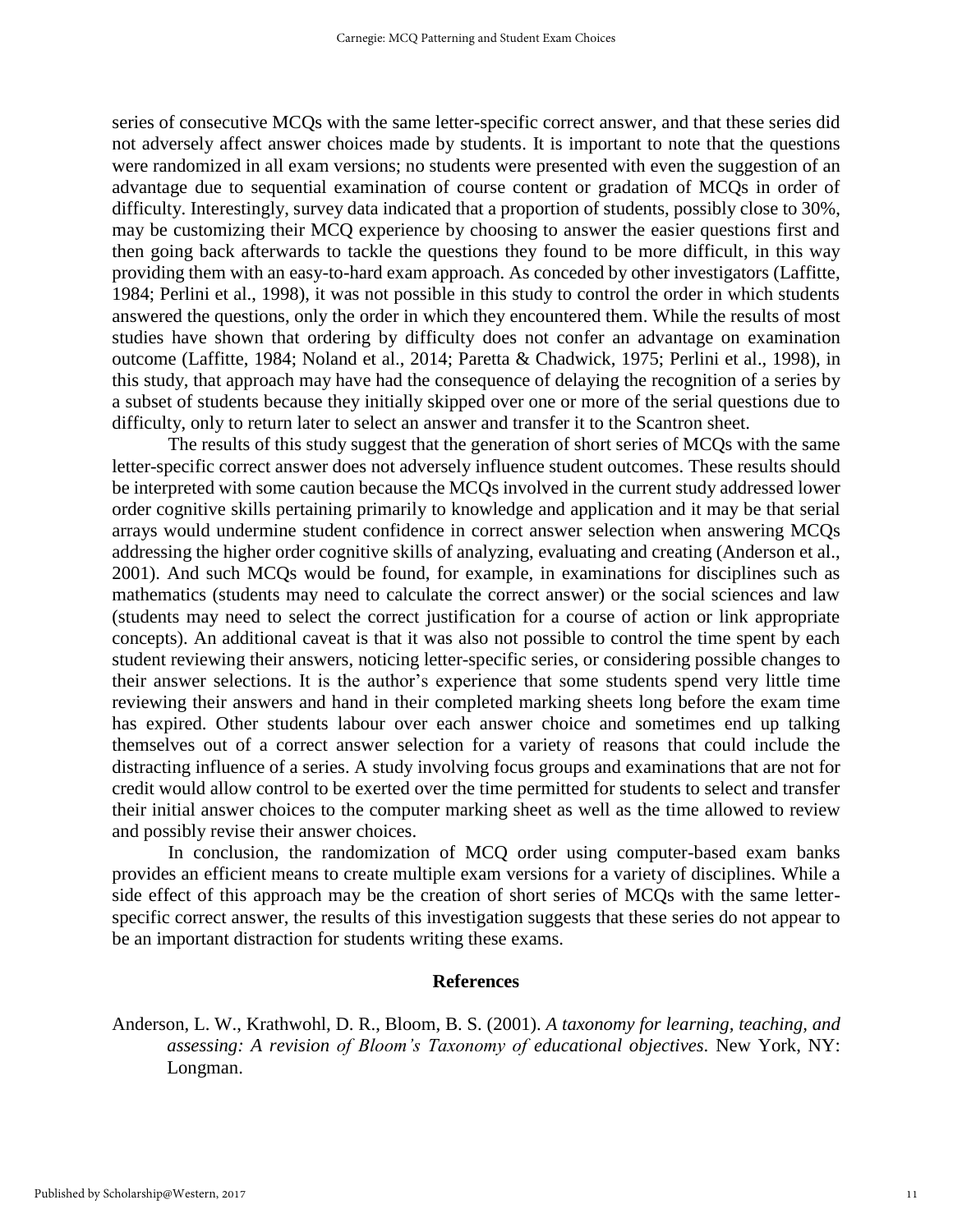series of consecutive MCQs with the same letter-specific correct answer, and that these series did not adversely affect answer choices made by students. It is important to note that the questions were randomized in all exam versions; no students were presented with even the suggestion of an advantage due to sequential examination of course content or gradation of MCQs in order of difficulty. Interestingly, survey data indicated that a proportion of students, possibly close to 30%, may be customizing their MCQ experience by choosing to answer the easier questions first and then going back afterwards to tackle the questions they found to be more difficult, in this way providing them with an easy-to-hard exam approach. As conceded by other investigators (Laffitte, 1984; Perlini et al., 1998), it was not possible in this study to control the order in which students answered the questions, only the order in which they encountered them. While the results of most studies have shown that ordering by difficulty does not confer an advantage on examination outcome (Laffitte, 1984; Noland et al., 2014; Paretta & Chadwick, 1975; Perlini et al., 1998), in this study, that approach may have had the consequence of delaying the recognition of a series by a subset of students because they initially skipped over one or more of the serial questions due to difficulty, only to return later to select an answer and transfer it to the Scantron sheet.

The results of this study suggest that the generation of short series of MCQs with the same letter-specific correct answer does not adversely influence student outcomes. These results should be interpreted with some caution because the MCQs involved in the current study addressed lower order cognitive skills pertaining primarily to knowledge and application and it may be that serial arrays would undermine student confidence in correct answer selection when answering MCQs addressing the higher order cognitive skills of analyzing, evaluating and creating (Anderson et al., 2001). And such MCQs would be found, for example, in examinations for disciplines such as mathematics (students may need to calculate the correct answer) or the social sciences and law (students may need to select the correct justification for a course of action or link appropriate concepts). An additional caveat is that it was also not possible to control the time spent by each student reviewing their answers, noticing letter-specific series, or considering possible changes to their answer selections. It is the author's experience that some students spend very little time reviewing their answers and hand in their completed marking sheets long before the exam time has expired. Other students labour over each answer choice and sometimes end up talking themselves out of a correct answer selection for a variety of reasons that could include the distracting influence of a series. A study involving focus groups and examinations that are not for credit would allow control to be exerted over the time permitted for students to select and transfer their initial answer choices to the computer marking sheet as well as the time allowed to review and possibly revise their answer choices.

In conclusion, the randomization of MCQ order using computer-based exam banks provides an efficient means to create multiple exam versions for a variety of disciplines. While a side effect of this approach may be the creation of short series of MCQs with the same letterspecific correct answer, the results of this investigation suggests that these series do not appear to be an important distraction for students writing these exams.

#### **References**

Anderson, L. W., Krathwohl, D. R., Bloom, B. S. (2001). *A taxonomy for learning, teaching, and assessing: A revision of Bloom's Taxonomy of educational objectives*. New York, NY: Longman.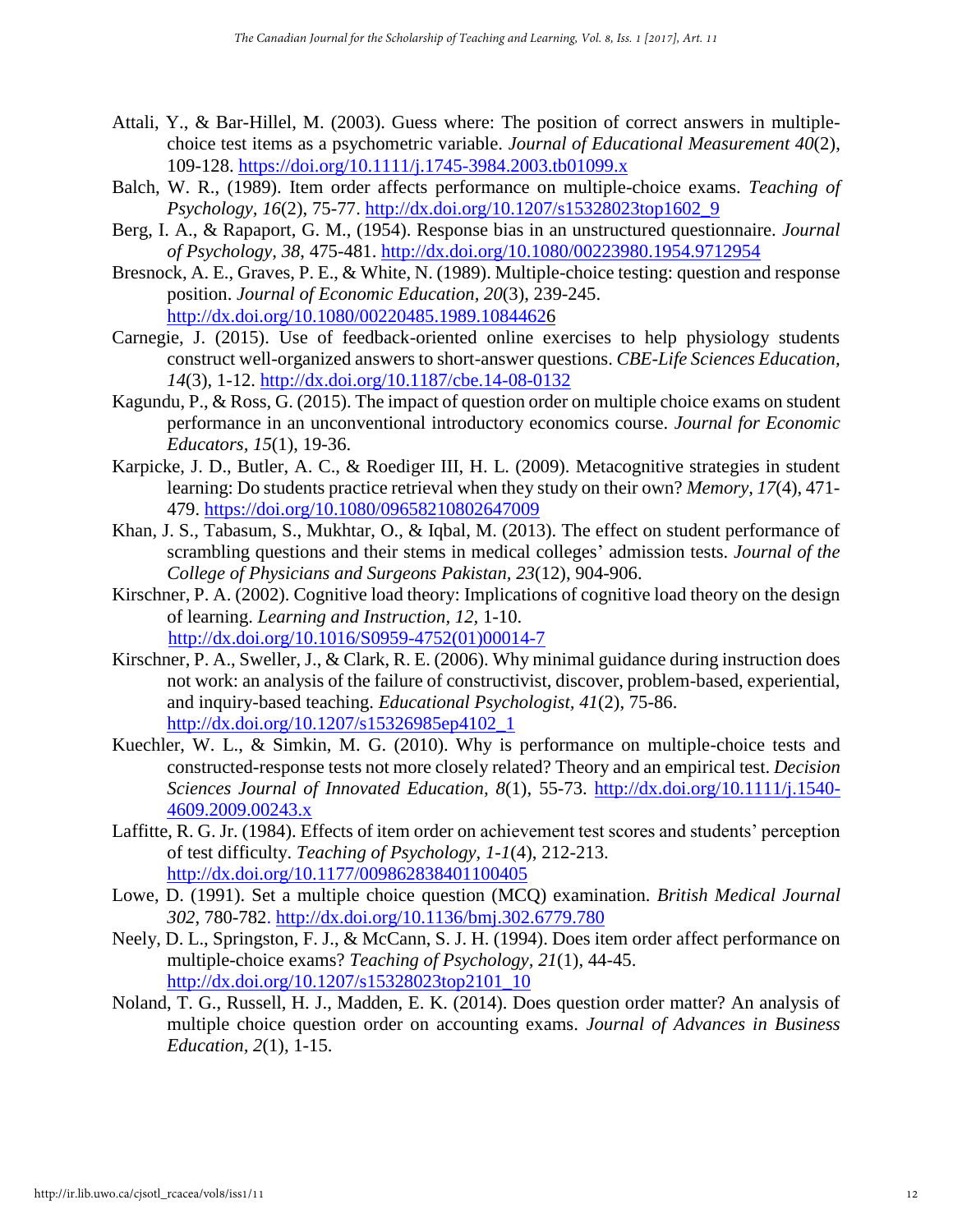- Attali, Y., & Bar-Hillel, M. (2003). Guess where: The position of correct answers in multiplechoice test items as a psychometric variable. *Journal of Educational Measurement 40*(2), 109-128. <https://doi.org/10.1111/j.1745-3984.2003.tb01099.x>
- Balch, W. R., (1989). Item order affects performance on multiple-choice exams. *Teaching of Psychology, 16*(2), 75-77. [http://dx.doi.org/10.1207/s15328023top1602\\_9](http://dx.doi.org/10.1207/s15328023top1602_9)
- Berg, I. A., & Rapaport, G. M., (1954). Response bias in an unstructured questionnaire. *Journal of Psychology, 38*, 475-481. <http://dx.doi.org/10.1080/00223980.1954.9712954>
- Bresnock, A. E., Graves, P. E., & White, N. (1989). Multiple-choice testing: question and response position. *Journal of Economic Education, 20*(3), 239-245. <http://dx.doi.org/10.1080/00220485.1989.10844626>
- Carnegie, J. (2015). Use of feedback-oriented online exercises to help physiology students construct well-organized answers to short-answer questions. *CBE-Life Sciences Education, 14*(3), 1-12.<http://dx.doi.org/10.1187/cbe.14-08-0132>
- Kagundu, P., & Ross, G. (2015). The impact of question order on multiple choice exams on student performance in an unconventional introductory economics course. *Journal for Economic Educators, 15*(1), 19-36.
- Karpicke, J. D., Butler, A. C., & Roediger III, H. L. (2009). Metacognitive strategies in student learning: Do students practice retrieval when they study on their own? *Memory, 17*(4), 471- 479.<https://doi.org/10.1080/09658210802647009>
- Khan, J. S., Tabasum, S., Mukhtar, O., & Iqbal, M. (2013). The effect on student performance of scrambling questions and their stems in medical colleges' admission tests. *Journal of the College of Physicians and Surgeons Pakistan, 23*(12), 904-906.
- Kirschner, P. A. (2002). Cognitive load theory: Implications of cognitive load theory on the design of learning. *Learning and Instruction, 12,* 1-10. [http://dx.doi.org/10.1016/S0959-4752\(01\)00014-7](http://dx.doi.org/10.1016/S0959-4752(01)00014-7)
- Kirschner, P. A., Sweller, J., & Clark, R. E. (2006). Why minimal guidance during instruction does not work: an analysis of the failure of constructivist, discover, problem-based, experiential, and inquiry-based teaching. *Educational Psychologist, 41*(2), 75-86. [http://dx.doi.org/10.1207/s15326985ep4102\\_1](http://dx.doi.org/10.1207/s15326985ep4102_1)
- Kuechler, W. L., & Simkin, M. G. (2010). Why is performance on multiple-choice tests and constructed-response tests not more closely related? Theory and an empirical test. *Decision Sciences Journal of Innovated Education, 8*(1), 55-73. [http://dx.doi.org/10.1111/j.1540-](http://dx.doi.org/10.1111/j.1540-4609.2009.00243.x) [4609.2009.00243.x](http://dx.doi.org/10.1111/j.1540-4609.2009.00243.x)
- Laffitte, R. G. Jr. (1984). Effects of item order on achievement test scores and students' perception of test difficulty. *Teaching of Psychology, 1-1*(4), 212-213. <http://dx.doi.org/10.1177/009862838401100405>
- Lowe, D. (1991). Set a multiple choice question (MCQ) examination. *British Medical Journal 302*, 780-782. <http://dx.doi.org/10.1136/bmj.302.6779.780>
- Neely, D. L., Springston, F. J., & McCann, S. J. H. (1994). Does item order affect performance on multiple-choice exams? *Teaching of Psychology, 21*(1), 44-45. [http://dx.doi.org/10.1207/s15328023top2101\\_10](http://dx.doi.org/10.1207/s15328023top2101_10)
- Noland, T. G., Russell, H. J., Madden, E. K. (2014). Does question order matter? An analysis of multiple choice question order on accounting exams. *Journal of Advances in Business Education, 2*(1), 1-15.